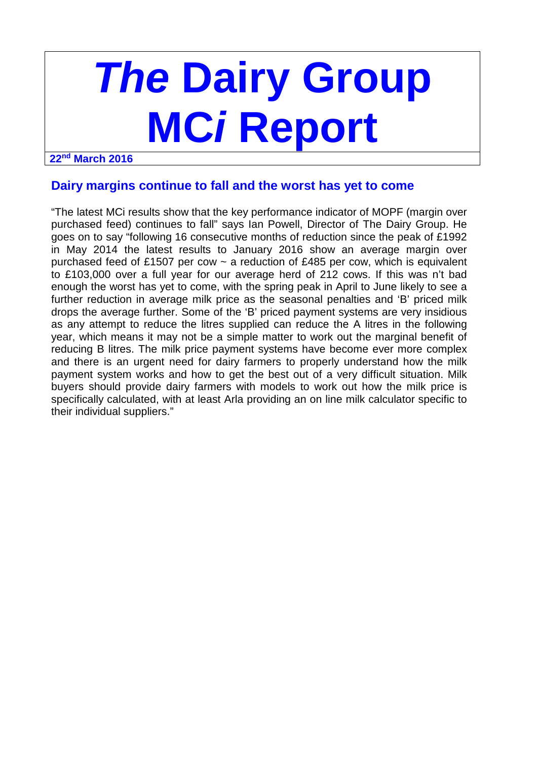# **The Dairy Group MCi Report**

#### **22nd March 2016**

## **Dairy margins continue to fall and the worst has yet to come**

"The latest MCi results show that the key performance indicator of MOPF (margin over purchased feed) continues to fall" says Ian Powell, Director of The Dairy Group. He goes on to say "following 16 consecutive months of reduction since the peak of £1992 in May 2014 the latest results to January 2016 show an average margin over purchased feed of £1507 per cow  $\sim$  a reduction of £485 per cow, which is equivalent to £103,000 over a full year for our average herd of 212 cows. If this was n't bad enough the worst has yet to come, with the spring peak in April to June likely to see a further reduction in average milk price as the seasonal penalties and 'B' priced milk drops the average further. Some of the 'B' priced payment systems are very insidious as any attempt to reduce the litres supplied can reduce the A litres in the following year, which means it may not be a simple matter to work out the marginal benefit of reducing B litres. The milk price payment systems have become ever more complex and there is an urgent need for dairy farmers to properly understand how the milk payment system works and how to get the best out of a very difficult situation. Milk buyers should provide dairy farmers with models to work out how the milk price is specifically calculated, with at least Arla providing an on line milk calculator specific to their individual suppliers."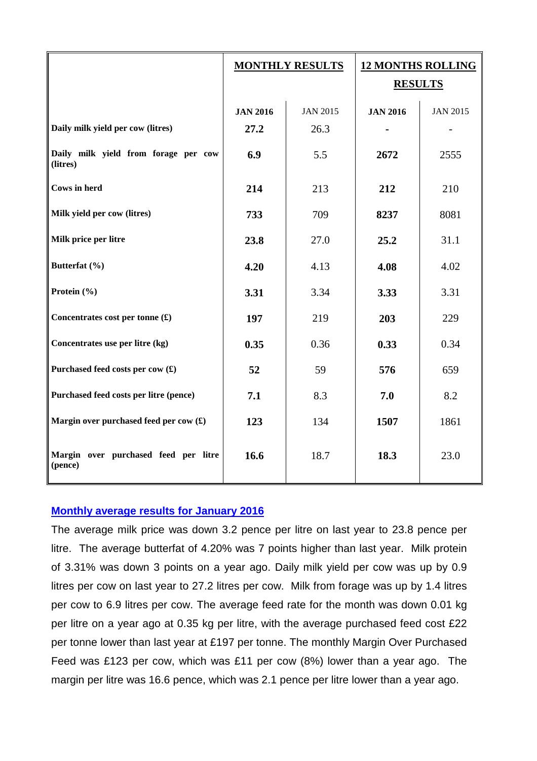|                                                         | <b>MONTHLY RESULTS</b> |                 | <b>12 MONTHS ROLLING</b><br><b>RESULTS</b> |                 |
|---------------------------------------------------------|------------------------|-----------------|--------------------------------------------|-----------------|
|                                                         | <b>JAN 2016</b>        | <b>JAN 2015</b> | <b>JAN 2016</b>                            | <b>JAN 2015</b> |
| Daily milk yield per cow (litres)                       | 27.2                   | 26.3            |                                            |                 |
| Daily milk yield from forage per cow<br>(litres)        | 6.9                    | 5.5             | 2672                                       | 2555            |
| <b>Cows in herd</b>                                     | 214                    | 213             | 212                                        | 210             |
| Milk yield per cow (litres)                             | 733                    | 709             | 8237                                       | 8081            |
| Milk price per litre                                    | 23.8                   | 27.0            | 25.2                                       | 31.1            |
| Butterfat (%)                                           | 4.20                   | 4.13            | 4.08                                       | 4.02            |
| Protein (%)                                             | 3.31                   | 3.34            | 3.33                                       | 3.31            |
| Concentrates cost per tonne $(\textbf{\pounds})$        | 197                    | 219             | 203                                        | 229             |
| Concentrates use per litre (kg)                         | 0.35                   | 0.36            | 0.33                                       | 0.34            |
| Purchased feed costs per cow (£)                        | 52                     | 59              | 576                                        | 659             |
| Purchased feed costs per litre (pence)                  | 7.1                    | 8.3             | 7.0                                        | 8.2             |
| Margin over purchased feed per cow $(\textbf{\pounds})$ | 123                    | 134             | 1507                                       | 1861            |
| Margin over purchased feed per litre<br>(pence)         | 16.6                   | 18.7            | 18.3                                       | 23.0            |

## **Monthly average results for January 2016**

The average milk price was down 3.2 pence per litre on last year to 23.8 pence per litre. The average butterfat of 4.20% was 7 points higher than last year. Milk protein of 3.31% was down 3 points on a year ago. Daily milk yield per cow was up by 0.9 litres per cow on last year to 27.2 litres per cow. Milk from forage was up by 1.4 litres per cow to 6.9 litres per cow. The average feed rate for the month was down 0.01 kg per litre on a year ago at 0.35 kg per litre, with the average purchased feed cost £22 per tonne lower than last year at £197 per tonne. The monthly Margin Over Purchased Feed was £123 per cow, which was £11 per cow (8%) lower than a year ago. The margin per litre was 16.6 pence, which was 2.1 pence per litre lower than a year ago.